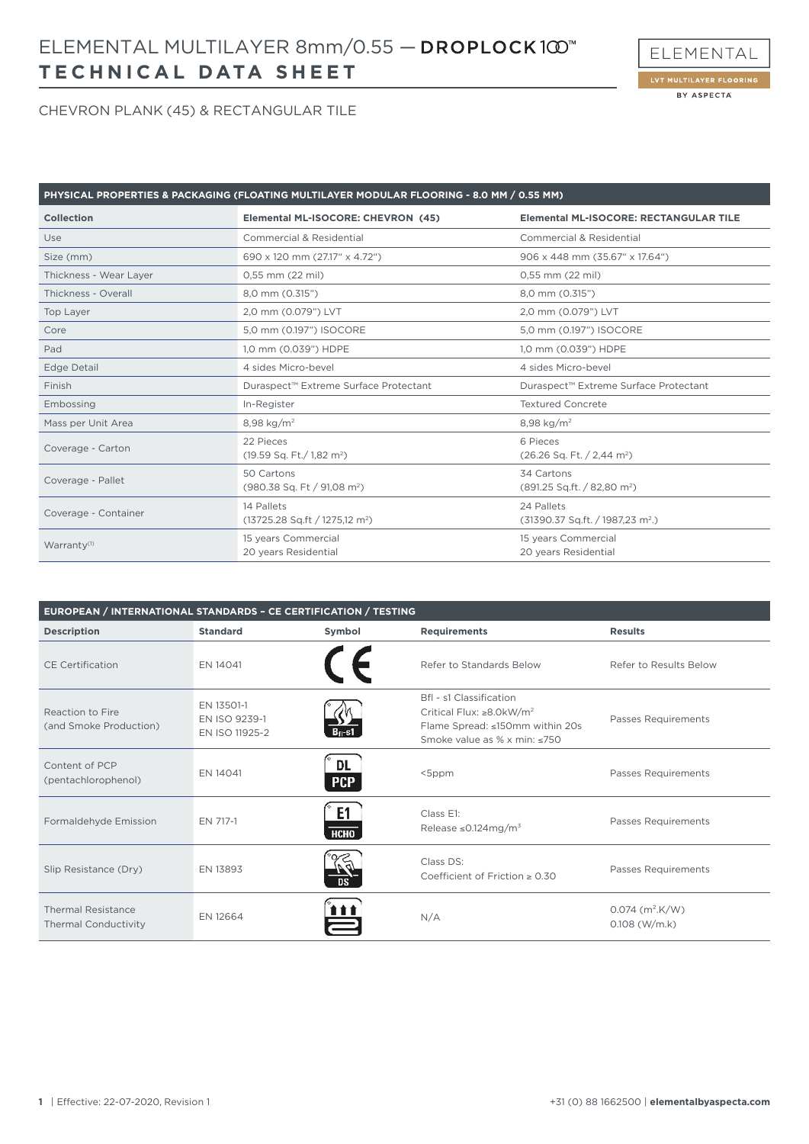# **TECHNICAL DATA SHEET** ELEMENTAL MULTILAYER 8mm/0.55 —



#### CHEVRON PLANK (45) & RECTANGULAR TILE

| PHYSICAL PROPERTIES & PACKAGING (FLOATING MULTILAYER MODULAR FLOORING - 8.0 MM / 0.55 MM) |                                                            |                                                        |  |  |
|-------------------------------------------------------------------------------------------|------------------------------------------------------------|--------------------------------------------------------|--|--|
| Collection                                                                                | Elemental ML-ISOCORE: CHEVRON (45)                         | <b>Elemental ML-ISOCORE: RECTANGULAR TILE</b>          |  |  |
| Use                                                                                       | Commercial & Residential                                   | <b>Commercial &amp; Residential</b>                    |  |  |
| Size (mm)                                                                                 | 690 x 120 mm (27.17" x 4.72")                              | 906 x 448 mm (35.67" x 17.64")                         |  |  |
| Thickness - Wear Layer                                                                    | 0,55 mm (22 mil)                                           | 0,55 mm (22 mil)                                       |  |  |
| Thickness - Overall                                                                       | 8,0 mm (0.315")                                            | 8,0 mm (0.315")                                        |  |  |
| Top Layer                                                                                 | 2,0 mm (0.079") LVT                                        | 2,0 mm (0.079") LVT                                    |  |  |
| Core                                                                                      | 5,0 mm (0.197") ISOCORE                                    | 5,0 mm (0.197") ISOCORE                                |  |  |
| Pad                                                                                       | 1,0 mm (0.039") HDPE                                       | 1,0 mm (0.039") HDPE                                   |  |  |
| <b>Edge Detail</b>                                                                        | 4 sides Micro-bevel                                        | 4 sides Micro-bevel                                    |  |  |
| Finish                                                                                    | Duraspect™ Extreme Surface Protectant                      | Duraspect™ Extreme Surface Protectant                  |  |  |
| Embossing                                                                                 | In-Register                                                | <b>Textured Concrete</b>                               |  |  |
| Mass per Unit Area                                                                        | 8,98 kg/m <sup>2</sup>                                     | 8,98 kg/m <sup>2</sup>                                 |  |  |
| Coverage - Carton                                                                         | 22 Pieces<br>$(19.59$ Sq. Ft./ 1,82 m <sup>2</sup> )       | 6 Pieces<br>$(26.26$ Sq. Ft. $/ 2.44$ m <sup>2</sup> ) |  |  |
| Coverage - Pallet                                                                         | 50 Cartons<br>(980.38 Sq. Ft / 91,08 m <sup>2</sup> )      | 34 Cartons<br>(891.25 Sq.ft. / 82,80 m <sup>2</sup> )  |  |  |
| Coverage - Container                                                                      | 14 Pallets<br>$(13725.28$ Sq.ft / 1275,12 m <sup>2</sup> ) | 24 Pallets<br>$(31390.37 Sq.ft. / 1987.23 m2.)$        |  |  |
| Warranty <sup>(1)</sup>                                                                   | 15 years Commercial<br>20 years Residential                | 15 years Commercial<br>20 years Residential            |  |  |

| EUROPEAN / INTERNATIONAL STANDARDS - CE CERTIFICATION / TESTING |                                               |                   |                                                                                                                                                 |                                                  |  |
|-----------------------------------------------------------------|-----------------------------------------------|-------------------|-------------------------------------------------------------------------------------------------------------------------------------------------|--------------------------------------------------|--|
| <b>Description</b>                                              | <b>Standard</b>                               | Symbol            | <b>Requirements</b>                                                                                                                             | <b>Results</b>                                   |  |
| <b>CE Certification</b>                                         | EN 14041                                      |                   | Refer to Standards Below                                                                                                                        | Refer to Results Below                           |  |
| Reaction to Fire<br>(and Smoke Production)                      | EN 13501-1<br>EN ISO 9239-1<br>EN ISO 11925-2 | $Bfl-s1$          | Bfl - s1 Classification<br>Critical Flux: $\geq 8.0$ kW/m <sup>2</sup><br>Flame Spread: ≤150mm within 20s<br>Smoke value as % x min: $\leq 750$ | Passes Requirements                              |  |
| Content of PCP<br>(pentachlorophenol)                           | EN 14041                                      | DL<br><b>PCP</b>  | $<$ 5 $ppm$                                                                                                                                     | Passes Requirements                              |  |
| Formaldehyde Emission                                           | EN 717-1                                      | E1<br><b>НСНО</b> | Class E1:<br>Release $\leq$ 0.124mg/m <sup>3</sup>                                                                                              | Passes Requirements                              |  |
| Slip Resistance (Dry)                                           | EN 13893                                      |                   | Class DS:<br>Coefficient of Friction $\geq 0.30$                                                                                                | Passes Requirements                              |  |
| <b>Thermal Resistance</b><br><b>Thermal Conductivity</b>        | EN 12664                                      | i i i             | N/A                                                                                                                                             | $0.074$ (m <sup>2</sup> .K/W)<br>$0.108$ (W/m.k) |  |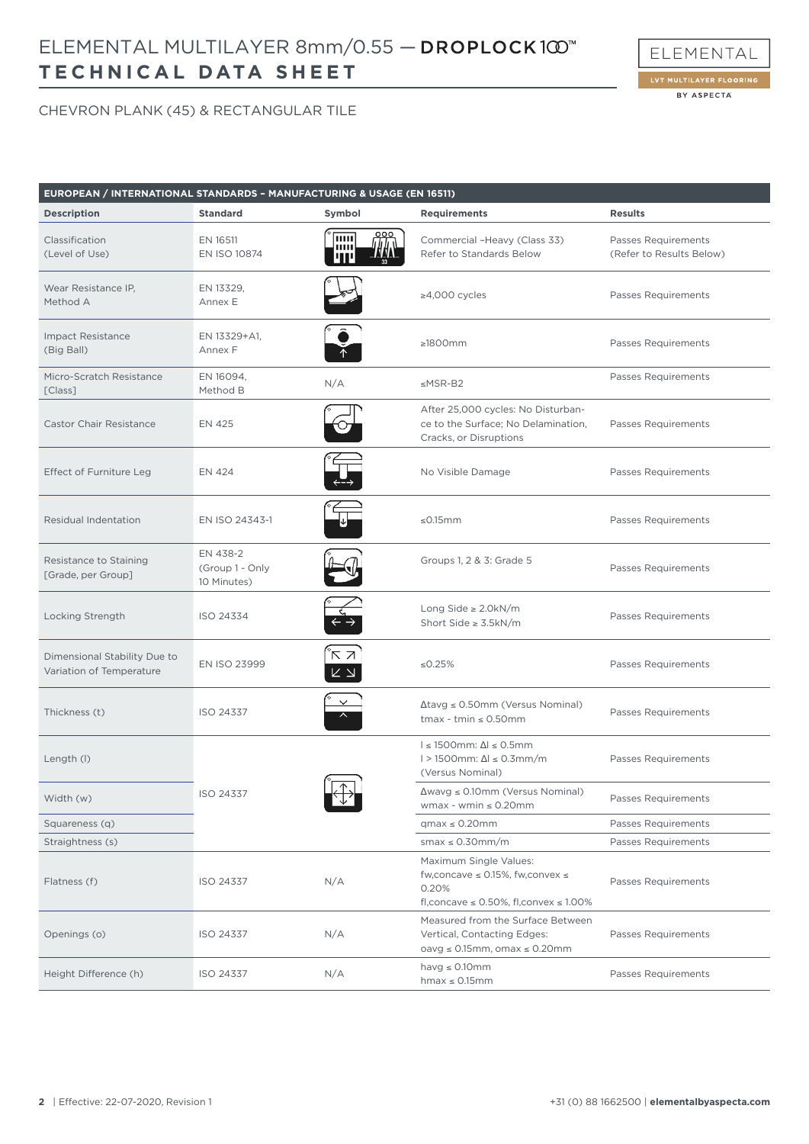# **TECHNICAL DATA SHEET** ELEMENTAL MULTILAYER 8mm/0.55 —



BY ASPECTA

ELEMENTAL

| EUROPEAN / INTERNATIONAL STANDARDS - MANUFACTURING & USAGE (EN 16511) |                                            |                                |                                                                                                                                     |                                                 |
|-----------------------------------------------------------------------|--------------------------------------------|--------------------------------|-------------------------------------------------------------------------------------------------------------------------------------|-------------------------------------------------|
| <b>Description</b>                                                    | <b>Standard</b>                            | Symbol                         | <b>Requirements</b>                                                                                                                 | <b>Results</b>                                  |
| Classification<br>(Level of Use)                                      | EN 16511<br>EN ISO 10874                   | luu<br>шш                      | Commercial -Heavy (Class 33)<br>Refer to Standards Below                                                                            | Passes Requirements<br>(Refer to Results Below) |
| Wear Resistance IP,<br>Method A                                       | EN 13329,<br>Annex E                       |                                | $\geq 4,000$ cycles                                                                                                                 | Passes Requirements                             |
| <b>Impact Resistance</b><br>(Big Ball)                                | EN 13329+A1,<br>Annex F                    |                                | $\geq 1800$ mm                                                                                                                      | Passes Requirements                             |
| Micro-Scratch Resistance<br>[Class]                                   | EN 16094,<br>Method B                      | N/A                            | $\leq$ MSR-B2                                                                                                                       | Passes Requirements                             |
| <b>Castor Chair Resistance</b>                                        | <b>EN 425</b>                              |                                | After 25,000 cycles: No Disturban-<br>ce to the Surface; No Delamination,<br>Cracks, or Disruptions                                 | Passes Requirements                             |
| Effect of Furniture Leg                                               | EN 424                                     |                                | No Visible Damage                                                                                                                   | Passes Requirements                             |
| Residual Indentation                                                  | EN ISO 24343-1                             |                                | ≤0.15 $mm$                                                                                                                          | Passes Requirements                             |
| Resistance to Staining<br>[Grade, per Group]                          | EN 438-2<br>(Group 1 - Only<br>10 Minutes) |                                | Groups 1, 2 & 3: Grade 5                                                                                                            | <b>Passes Requirements</b>                      |
| Locking Strength                                                      | ISO 24334                                  |                                | Long Side $\geq$ 2.0kN/m<br>Short Side $\geq$ 3.5kN/m                                                                               | Passes Requirements                             |
| Dimensional Stability Due to<br>Variation of Temperature              | EN ISO 23999                               | κz<br>$\mathsf{K}\ \mathsf{N}$ | ≤ $0.25%$                                                                                                                           | Passes Requirements                             |
| Thickness (t)                                                         | ISO 24337                                  |                                | $\Delta$ tavg $\leq$ 0.50mm (Versus Nominal)<br>$t$ max - $t$ min $\leq 0.50$ mm                                                    | Passes Requirements                             |
| Length (I)                                                            |                                            |                                | $I \leq 1500$ mm: $\Delta I \leq 0.5$ mm<br>$1 > 1500$ mm: $\Delta l \leq 0.3$ mm/m<br>(Versus Nominal)                             | Passes Requirements                             |
| Width (w)                                                             | ISO 24337                                  | $\mathbf{v}$                   | $\Delta$ wavg $\leq$ 0.10mm (Versus Nominal)<br>wmax - wmin $\leq 0.20$ mm                                                          | Passes Requirements                             |
| Squareness (q)                                                        |                                            |                                | $qmax \leq 0.20$ mm                                                                                                                 | Passes Requirements                             |
| Straightness (s)                                                      |                                            |                                | smax $\leq$ 0.30mm/m                                                                                                                | Passes Requirements                             |
| Flatness (f)                                                          | ISO 24337                                  | N/A                            | Maximum Single Values:<br>fw, concave $\leq$ 0.15%, fw, convex $\leq$<br>0.20%<br>fl, concave $\leq$ 0.50%, fl, convex $\leq$ 1.00% | Passes Requirements                             |
| Openings (o)                                                          | ISO 24337                                  | N/A                            | Measured from the Surface Between<br>Vertical, Contacting Edges:<br>$oavg \le 0.15mm$ , omax $\le 0.20mm$                           | Passes Requirements                             |
| Height Difference (h)                                                 | ISO 24337                                  | N/A                            | havg $\leq$ 0.10mm<br>$hmax \leq 0.15$ mm                                                                                           | Passes Requirements                             |